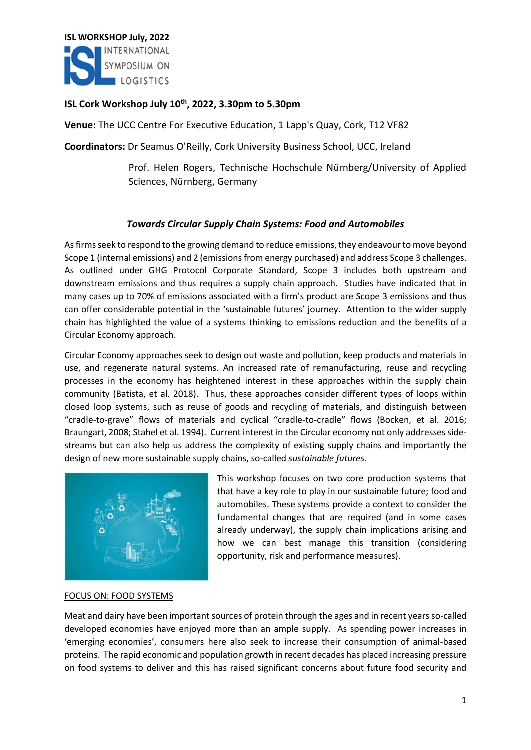

# **ISL Cork Workshop July 10th, 2022, 3.30pm to 5.30pm**

**Venue:** The UCC Centre For Executive Education, 1 Lapp's Quay, Cork, T12 VF82

**Coordinators:** Dr Seamus O'Reilly, Cork University Business School, UCC, Ireland

Prof. Helen Rogers, Technische Hochschule Nürnberg/University of Applied Sciences, Nürnberg, Germany

## *Towards Circular Supply Chain Systems: Food and Automobiles*

As firms seek to respond to the growing demand to reduce emissions, they endeavour to move beyond Scope 1 (internal emissions) and 2 (emissions from energy purchased) and address Scope 3 challenges. As outlined under GHG Protocol Corporate Standard, Scope 3 includes both upstream and downstream emissions and thus requires a supply chain approach. Studies have indicated that in many cases up to 70% of emissions associated with a firm's product are Scope 3 emissions and thus can offer considerable potential in the 'sustainable futures' journey. Attention to the wider supply chain has highlighted the value of a systems thinking to emissions reduction and the benefits of a Circular Economy approach.

Circular Economy approaches seek to design out waste and pollution, keep products and materials in use, and regenerate natural systems. An increased rate of remanufacturing, reuse and recycling processes in the economy has heightened interest in these approaches within the supply chain community (Batista, et al. 2018). Thus, these approaches consider different types of loops within closed loop systems, such as reuse of goods and recycling of materials, and distinguish between "cradle-to-grave" flows of materials and cyclical "cradle-to-cradle" flows (Bocken, et al. 2016; Braungart, 2008; Stahel et al. 1994). Current interest in the Circular economy not only addresses sidestreams but can also help us address the complexity of existing supply chains and importantly the design of new more sustainable supply chains, so-called *sustainable futures.*



This workshop focuses on two core production systems that that have a key role to play in our sustainable future; food and automobiles. These systems provide a context to consider the fundamental changes that are required (and in some cases already underway), the supply chain implications arising and how we can best manage this transition (considering opportunity, risk and performance measures).

#### FOCUS ON: FOOD SYSTEMS

Meat and dairy have been important sources of protein through the ages and in recent years so-called developed economies have enjoyed more than an ample supply. As spending power increases in 'emerging economies', consumers here also seek to increase their consumption of animal-based proteins. The rapid economic and population growth in recent decades has placed increasing pressure on food systems to deliver and this has raised significant concerns about future food security and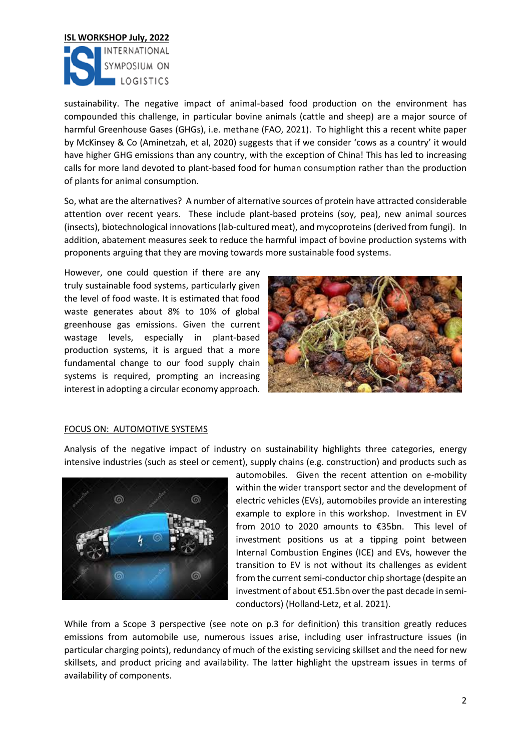

sustainability. The negative impact of animal-based food production on the environment has compounded this challenge, in particular bovine animals (cattle and sheep) are a major source of harmful Greenhouse Gases (GHGs), i.e. methane (FAO, 2021). To highlight this a recent white paper by McKinsey & Co (Aminetzah, et al, 2020) suggests that if we consider 'cows as a country' it would have higher GHG emissions than any country, with the exception of China! This has led to increasing calls for more land devoted to plant-based food for human consumption rather than the production of plants for animal consumption.

So, what are the alternatives? A number of alternative sources of protein have attracted considerable attention over recent years. These include plant-based proteins (soy, pea), new animal sources (insects), biotechnological innovations (lab-cultured meat), and mycoproteins (derived from fungi). In addition, abatement measures seek to reduce the harmful impact of bovine production systems with proponents arguing that they are moving towards more sustainable food systems.

However, one could question if there are any truly sustainable food systems, particularly given the level of food waste. It is estimated that food waste generates about 8% to 10% of global greenhouse gas emissions. Given the current wastage levels, especially in plant-based production systems, it is argued that a more fundamental change to our food supply chain systems is required, prompting an increasing interest in adopting a circular economy approach.



#### FOCUS ON: AUTOMOTIVE SYSTEMS

Analysis of the negative impact of industry on sustainability highlights three categories, energy intensive industries (such as steel or cement), supply chains (e.g. construction) and products such as



automobiles. Given the recent attention on e-mobility within the wider transport sector and the development of electric vehicles (EVs), automobiles provide an interesting example to explore in this workshop. Investment in EV from 2010 to 2020 amounts to €35bn. This level of investment positions us at a tipping point between Internal Combustion Engines (ICE) and EVs, however the transition to EV is not without its challenges as evident from the current semi-conductor chip shortage (despite an investment of about €51.5bn over the past decade in semiconductors) (Holland-Letz, et al. 2021).

While from a Scope 3 perspective (see note on p.3 for definition) this transition greatly reduces emissions from automobile use, numerous issues arise, including user infrastructure issues (in particular charging points), redundancy of much of the existing servicing skillset and the need for new skillsets, and product pricing and availability. The latter highlight the upstream issues in terms of availability of components.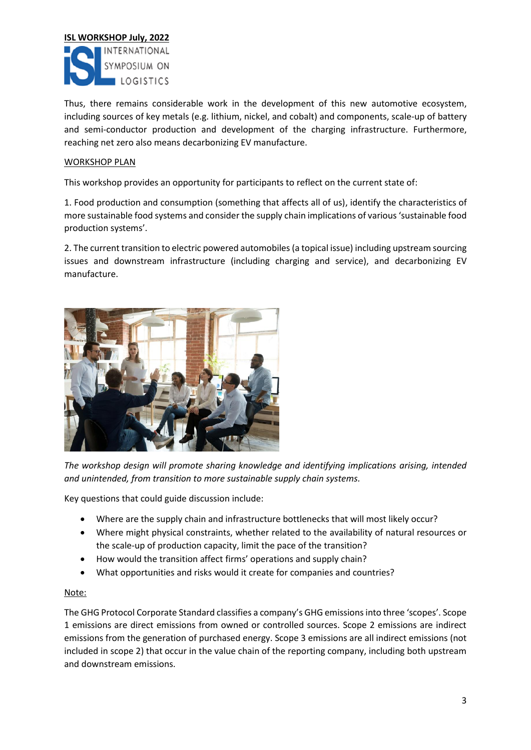

Thus, there remains considerable work in the development of this new automotive ecosystem, including sources of key metals (e.g. lithium, nickel, and cobalt) and components, scale-up of battery and semi-conductor production and development of the charging infrastructure. Furthermore, reaching net zero also means decarbonizing EV manufacture.

### WORKSHOP PLAN

This workshop provides an opportunity for participants to reflect on the current state of:

1. Food production and consumption (something that affects all of us), identify the characteristics of more sustainable food systems and consider the supply chain implications of various 'sustainable food production systems'.

2. The current transition to electric powered automobiles (a topical issue) including upstream sourcing issues and downstream infrastructure (including charging and service), and decarbonizing EV manufacture.



*The workshop design will promote sharing knowledge and identifying implications arising, intended and unintended, from transition to more sustainable supply chain systems.*

Key questions that could guide discussion include:

- Where are the supply chain and infrastructure bottlenecks that will most likely occur?
- Where might physical constraints, whether related to the availability of natural resources or the scale-up of production capacity, limit the pace of the transition?
- How would the transition affect firms' operations and supply chain?
- What opportunities and risks would it create for companies and countries?

#### Note:

The GHG Protocol Corporate Standard classifies a company's GHG emissions into three 'scopes'. Scope 1 emissions are direct emissions from owned or controlled sources. Scope 2 emissions are indirect emissions from the generation of purchased energy. Scope 3 emissions are all indirect emissions (not included in scope 2) that occur in the value chain of the reporting company, including both upstream and downstream emissions.